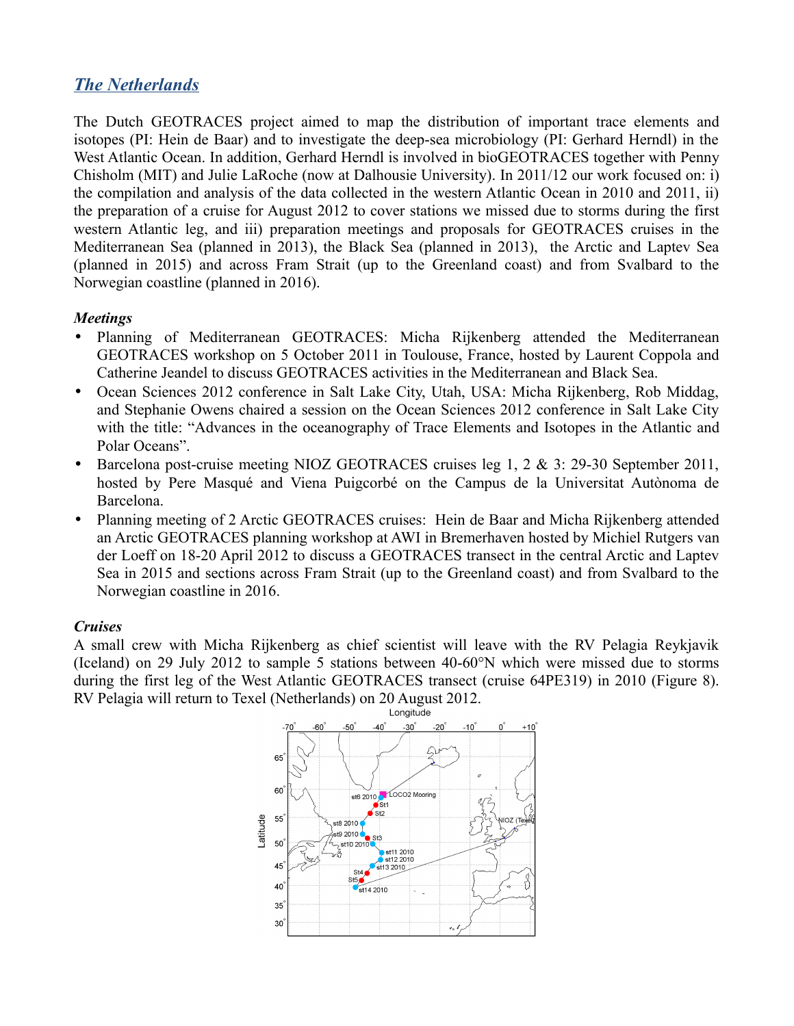# *The Netherlands*

The Dutch GEOTRACES project aimed to map the distribution of important trace elements and isotopes (PI: Hein de Baar) and to investigate the deep-sea microbiology (PI: Gerhard Herndl) in the West Atlantic Ocean. In addition, Gerhard Herndl is involved in bioGEOTRACES together with Penny Chisholm (MIT) and Julie LaRoche (now at Dalhousie University). In 2011/12 our work focused on: i) the compilation and analysis of the data collected in the western Atlantic Ocean in 2010 and 2011, ii) the preparation of a cruise for August 2012 to cover stations we missed due to storms during the first western Atlantic leg, and iii) preparation meetings and proposals for GEOTRACES cruises in the Mediterranean Sea (planned in 2013), the Black Sea (planned in 2013), the Arctic and Laptev Sea (planned in 2015) and across Fram Strait (up to the Greenland coast) and from Svalbard to the Norwegian coastline (planned in 2016).

# *Meetings*

- Planning of Mediterranean GEOTRACES: Micha Rijkenberg attended the Mediterranean GEOTRACES workshop on 5 October 2011 in Toulouse, France, hosted by Laurent Coppola and Catherine Jeandel to discuss GEOTRACES activities in the Mediterranean and Black Sea.
- Ocean Sciences 2012 conference in Salt Lake City, Utah, USA: Micha Rijkenberg, Rob Middag, and Stephanie Owens chaired a session on the Ocean Sciences 2012 conference in Salt Lake City with the title: "Advances in the oceanography of Trace Elements and Isotopes in the Atlantic and Polar Oceans".
- Barcelona post-cruise meeting NIOZ GEOTRACES cruises leg 1, 2 & 3: 29-30 September 2011, hosted by Pere Masqué and Viena Puigcorbé on the Campus de la Universitat Autònoma de Barcelona.
- Planning meeting of 2 Arctic GEOTRACES cruises: Hein de Baar and Micha Rijkenberg attended an Arctic GEOTRACES planning workshop at AWI in Bremerhaven hosted by Michiel Rutgers van der Loeff on 18-20 April 2012 to discuss a GEOTRACES transect in the central Arctic and Laptev Sea in 2015 and sections across Fram Strait (up to the Greenland coast) and from Svalbard to the Norwegian coastline in 2016.

#### *Cruises*

A small crew with Micha Rijkenberg as chief scientist will leave with the RV Pelagia Reykjavik (Iceland) on 29 July 2012 to sample 5 stations between 40-60°N which were missed due to storms during the first leg of the West Atlantic GEOTRACES transect (cruise 64PE319) in 2010 (Figure 8). RV Pelagia will return to Texel (Netherlands) on 20 August 2012.

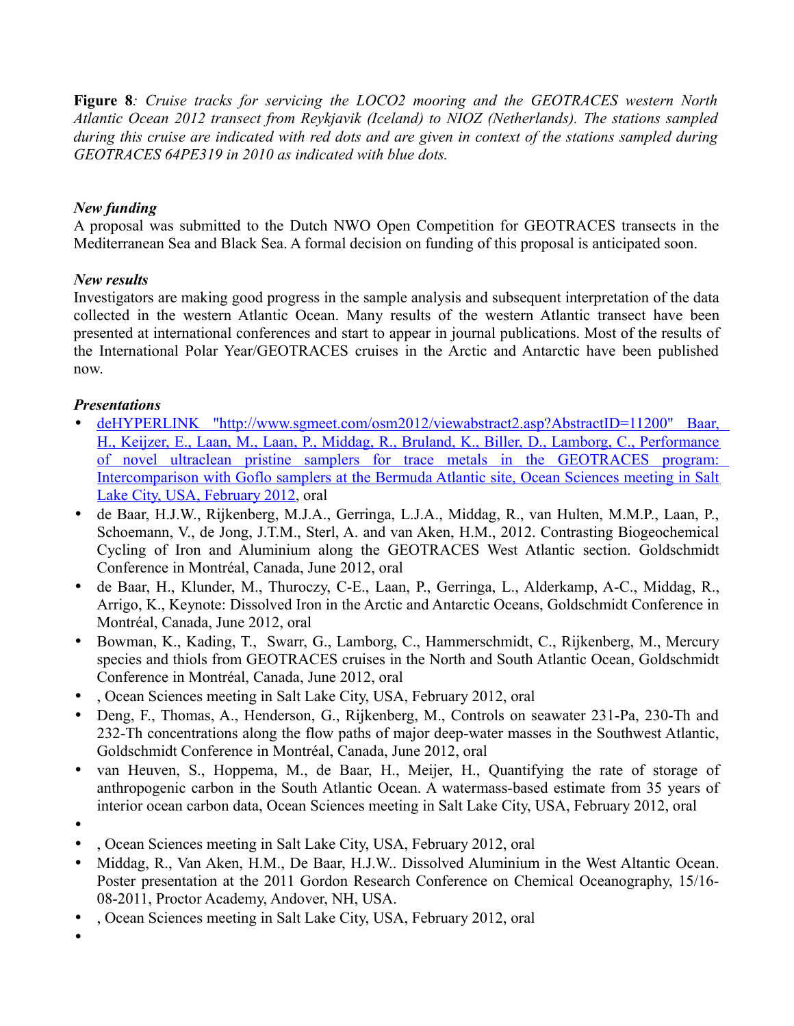**Figure 8***: Cruise tracks for servicing the LOCO2 mooring and the GEOTRACES western North Atlantic Ocean 2012 transect from Reykjavik (Iceland) to NIOZ (Netherlands). The stations sampled during this cruise are indicated with red dots and are given in context of the stations sampled during GEOTRACES 64PE319 in 2010 as indicated with blue dots.*

# *New funding*

A proposal was submitted to the Dutch NWO Open Competition for GEOTRACES transects in the Mediterranean Sea and Black Sea. A formal decision on funding of this proposal is anticipated soon.

# *New results*

Investigators are making good progress in the sample analysis and subsequent interpretation of the data collected in the western Atlantic Ocean. Many results of the western Atlantic transect have been presented at international conferences and start to appear in journal publications. Most of the results of the International Polar Year/GEOTRACES cruises in the Arctic and Antarctic have been published now.

# *Presentations*

- • [deHYPERLINK "http://www.sgmeet.com/osm2012/viewabstract2.asp?AbstractID=11200" Baar,](http://www.sgmeet.com/osm2012/viewabstract2.asp?AbstractID=11200) [H., Keijzer, E., Laan, M., Laan, P., Middag, R., Bruland, K., Biller, D., Lamborg, C., Performance](http://www.sgmeet.com/osm2012/viewabstract2.asp?AbstractID=11200) of novel ultraclean pristine samplers for trace metals in the GEOTRACES program: Intercomparison with Goflo samplers at the Bermuda Atlantic site, Ocean Sciences meeting in Salt [Lake City, USA, February 2012,](http://www.sgmeet.com/osm2012/viewabstract2.asp?AbstractID=11200) oral
- de Baar, H.J.W., Rijkenberg, M.J.A., Gerringa, L.J.A., Middag, R., van Hulten, M.M.P., Laan, P., Schoemann, V., de Jong, J.T.M., Sterl, A. and van Aken, H.M., 2012. Contrasting Biogeochemical Cycling of Iron and Aluminium along the GEOTRACES West Atlantic section. Goldschmidt Conference in Montréal, Canada, June 2012, oral
- de Baar, H., Klunder, M., Thuroczy, C-E., Laan, P., Gerringa, L., Alderkamp, A-C., Middag, R., Arrigo, K., Keynote: Dissolved Iron in the Arctic and Antarctic Oceans, Goldschmidt Conference in Montréal, Canada, June 2012, oral
- Bowman, K., Kading, T., Swarr, G., Lamborg, C., Hammerschmidt, C., Rijkenberg, M., Mercury species and thiols from GEOTRACES cruises in the North and South Atlantic Ocean, Goldschmidt Conference in Montréal, Canada, June 2012, oral
- , Ocean Sciences meeting in Salt Lake City, USA, February 2012, oral
- Deng, F., Thomas, A., Henderson, G., Rijkenberg, M., Controls on seawater 231-Pa, 230-Th and 232-Th concentrations along the flow paths of major deep-water masses in the Southwest Atlantic, Goldschmidt Conference in Montréal, Canada, June 2012, oral
- van Heuven, S., Hoppema, M., de Baar, H., Meijer, H., Quantifying the rate of storage of anthropogenic carbon in the South Atlantic Ocean. A watermass-based estimate from 35 years of interior ocean carbon data, Ocean Sciences meeting in Salt Lake City, USA, February 2012, oral
- •
- , Ocean Sciences meeting in Salt Lake City, USA, February 2012, oral
- Middag, R., Van Aken, H.M., De Baar, H.J.W.. Dissolved Aluminium in the West Altantic Ocean. Poster presentation at the 2011 Gordon Research Conference on Chemical Oceanography, 15/16- 08-2011, Proctor Academy, Andover, NH, USA.
- , Ocean Sciences meeting in Salt Lake City, USA, February 2012, oral
- •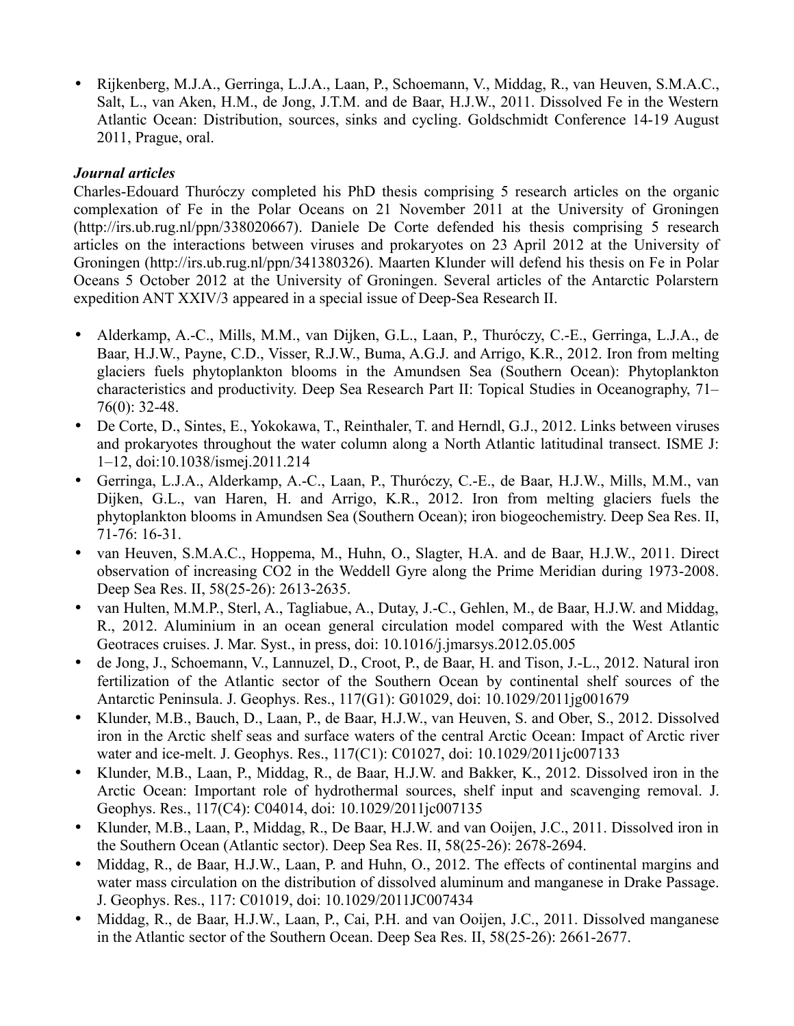• Rijkenberg, M.J.A., Gerringa, L.J.A., Laan, P., Schoemann, V., Middag, R., van Heuven, S.M.A.C., Salt, L., van Aken, H.M., de Jong, J.T.M. and de Baar, H.J.W., 2011. Dissolved Fe in the Western Atlantic Ocean: Distribution, sources, sinks and cycling. Goldschmidt Conference 14-19 August 2011, Prague, oral.

### *Journal articles*

Charles-Edouard Thuróczy completed his PhD thesis comprising 5 research articles on the organic complexation of Fe in the Polar Oceans on 21 November 2011 at the University of Groningen (http://irs.ub.rug.nl/ppn/338020667). Daniele De Corte defended his thesis comprising 5 research articles on the interactions between viruses and prokaryotes on 23 April 2012 at the University of Groningen (http://irs.ub.rug.nl/ppn/341380326). Maarten Klunder will defend his thesis on Fe in Polar Oceans 5 October 2012 at the University of Groningen. Several articles of the Antarctic Polarstern expedition ANT XXIV/3 appeared in a special issue of Deep-Sea Research II.

- Alderkamp, A.-C., Mills, M.M., van Dijken, G.L., Laan, P., Thuróczy, C.-E., Gerringa, L.J.A., de Baar, H.J.W., Payne, C.D., Visser, R.J.W., Buma, A.G.J. and Arrigo, K.R., 2012. Iron from melting glaciers fuels phytoplankton blooms in the Amundsen Sea (Southern Ocean): Phytoplankton characteristics and productivity. Deep Sea Research Part II: Topical Studies in Oceanography, 71– 76(0): 32-48.
- De Corte, D., Sintes, E., Yokokawa, T., Reinthaler, T. and Herndl, G.J., 2012. Links between viruses and prokaryotes throughout the water column along a North Atlantic latitudinal transect. ISME J: 1–12, doi:10.1038/ismej.2011.214
- Gerringa, L.J.A., Alderkamp, A.-C., Laan, P., Thuróczy, C.-E., de Baar, H.J.W., Mills, M.M., van Dijken, G.L., van Haren, H. and Arrigo, K.R., 2012. Iron from melting glaciers fuels the phytoplankton blooms in Amundsen Sea (Southern Ocean); iron biogeochemistry. Deep Sea Res. II, 71-76: 16-31.
- van Heuven, S.M.A.C., Hoppema, M., Huhn, O., Slagter, H.A. and de Baar, H.J.W., 2011. Direct observation of increasing CO2 in the Weddell Gyre along the Prime Meridian during 1973-2008. Deep Sea Res. II, 58(25-26): 2613-2635.
- van Hulten, M.M.P., Sterl, A., Tagliabue, A., Dutay, J.-C., Gehlen, M., de Baar, H.J.W. and Middag, R., 2012. Aluminium in an ocean general circulation model compared with the West Atlantic Geotraces cruises. J. Mar. Syst., in press, doi: 10.1016/j.jmarsys.2012.05.005
- de Jong, J., Schoemann, V., Lannuzel, D., Croot, P., de Baar, H. and Tison, J.-L., 2012. Natural iron fertilization of the Atlantic sector of the Southern Ocean by continental shelf sources of the Antarctic Peninsula. J. Geophys. Res., 117(G1): G01029, doi: 10.1029/2011jg001679
- Klunder, M.B., Bauch, D., Laan, P., de Baar, H.J.W., van Heuven, S. and Ober, S., 2012. Dissolved iron in the Arctic shelf seas and surface waters of the central Arctic Ocean: Impact of Arctic river water and ice-melt. J. Geophys. Res., 117(C1): C01027, doi: 10.1029/2011jc007133
- Klunder, M.B., Laan, P., Middag, R., de Baar, H.J.W. and Bakker, K., 2012. Dissolved iron in the Arctic Ocean: Important role of hydrothermal sources, shelf input and scavenging removal. J. Geophys. Res., 117(C4): C04014, doi: 10.1029/2011jc007135
- Klunder, M.B., Laan, P., Middag, R., De Baar, H.J.W. and van Ooijen, J.C., 2011. Dissolved iron in the Southern Ocean (Atlantic sector). Deep Sea Res. II, 58(25-26): 2678-2694.
- Middag, R., de Baar, H.J.W., Laan, P. and Huhn, O., 2012. The effects of continental margins and water mass circulation on the distribution of dissolved aluminum and manganese in Drake Passage. J. Geophys. Res., 117: C01019, doi: 10.1029/2011JC007434
- Middag, R., de Baar, H.J.W., Laan, P., Cai, P.H. and van Ooijen, J.C., 2011. Dissolved manganese in the Atlantic sector of the Southern Ocean. Deep Sea Res. II, 58(25-26): 2661-2677.